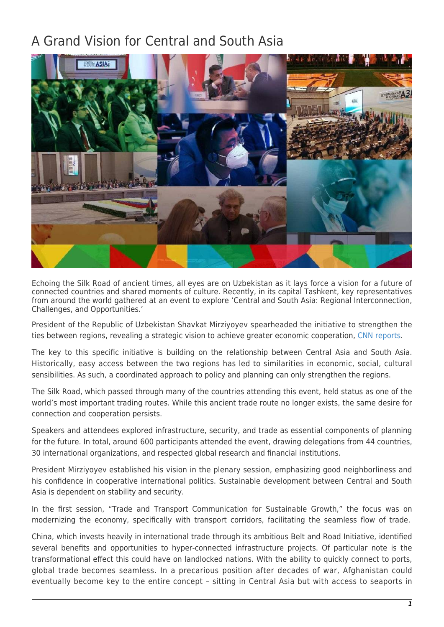## A Grand Vision for Central and South Asia



Echoing the Silk Road of ancient times, all eyes are on Uzbekistan as it lays force a vision for a future of connected countries and shared moments of culture. Recently, in its capital Tashkent, key representatives from around the world gathered at an event to explore 'Central and South Asia: Regional Interconnection, Challenges, and Opportunities.'

President of the Republic of Uzbekistan Shavkat Mirziyoyev spearheaded the initiative to strengthen the ties between regions, revealing a strategic vision to achieve greater economic cooperation, [CNN reports](https://sponsorcontent.cnn.com/int/national-association-of-media-uzbekistan/grand-vision/).

The key to this specific initiative is building on the relationship between Central Asia and South Asia. Historically, easy access between the two regions has led to similarities in economic, social, cultural sensibilities. As such, a coordinated approach to policy and planning can only strengthen the regions.

The Silk Road, which passed through many of the countries attending this event, held status as one of the world's most important trading routes. While this ancient trade route no longer exists, the same desire for connection and cooperation persists.

Speakers and attendees explored infrastructure, security, and trade as essential components of planning for the future. In total, around 600 participants attended the event, drawing delegations from 44 countries, 30 international organizations, and respected global research and financial institutions.

President Mirziyoyev established his vision in the plenary session, emphasizing good neighborliness and his confidence in cooperative international politics. Sustainable development between Central and South Asia is dependent on stability and security.

In the first session, "Trade and Transport Communication for Sustainable Growth," the focus was on modernizing the economy, specifically with transport corridors, facilitating the seamless flow of trade.

China, which invests heavily in international trade through its ambitious Belt and Road Initiative, identified several benefits and opportunities to hyper-connected infrastructure projects. Of particular note is the transformational effect this could have on landlocked nations. With the ability to quickly connect to ports, global trade becomes seamless. In a precarious position after decades of war, Afghanistan could eventually become key to the entire concept – sitting in Central Asia but with access to seaports in